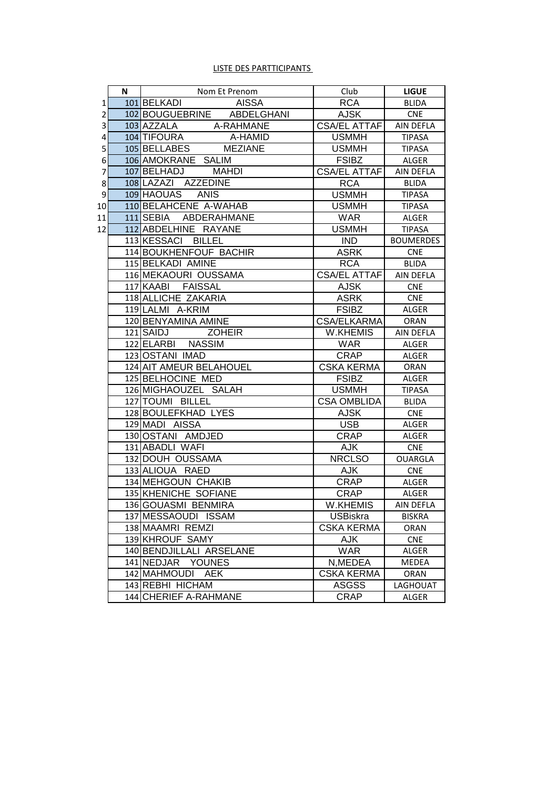### LISTE DES PARTTICIPANTS

|                | N | Nom Et Prenom                            | Club                              | <b>LIGUE</b>               |
|----------------|---|------------------------------------------|-----------------------------------|----------------------------|
| 1              |   | 101 BELKADI<br>AISSA                     | <b>RCA</b>                        | <b>BLIDA</b>               |
| $\overline{2}$ |   | 102 BOUGUEBRINE ABDELGHANI               | AJSK                              | <b>CNE</b>                 |
| 3              |   | 103 AZZALA A-RAHMANE                     | <b>CSA/EL ATTAFI</b>              | AIN DEFLA                  |
| 4              |   | 104 TIFOURA<br>A-HAMID                   | <b>USMMH</b>                      | <b>TIPASA</b>              |
| 5              |   | 105 BELLABES<br><b>MEZIANE</b>           | <b>USMMH</b>                      | <b>TIPASA</b>              |
| 6              |   | 106 AMOKRANE SALIM                       | <b>FSIBZ</b>                      | ALGER                      |
| 7              |   | 107 BELHADJ<br><b>MAHDI</b>              | <b>CSA/EL ATTAF</b>               | AIN DEFLA                  |
| 8              |   | 108 LAZAZI AZZEDINE                      | <b>RCA</b>                        | <b>BLIDA</b>               |
| 9              |   | 109 HAOUAS ANIS                          | <b>USMMH</b>                      | <b>TIPASA</b>              |
| 10             |   | 110 BELAHCENE A-WAHAB                    | <b>USMMH</b>                      | <b>TIPASA</b>              |
| 11             |   | 111 SEBIA ABDERAHMANE                    | <b>WAR</b>                        | ALGER                      |
| 12             |   | 112 ABDELHINE RAYANE                     | <b>USMMH</b>                      | <b>TIPASA</b>              |
|                |   | 113 KESSACI BILLEL                       | <b>IND</b>                        | <b>BOUMERDES</b>           |
|                |   | 114 BOUKHENFOUF BACHIR                   | <b>ASRK</b>                       | <b>CNE</b>                 |
|                |   | 115 BELKADI AMINE                        | <b>RCA</b>                        | <b>BLIDA</b>               |
|                |   | 116 MEKAOURI OUSSAMA                     | <b>CSA/EL ATTAF</b>               | AIN DEFLA                  |
|                |   | 117 KAABI FAISSAL                        | <b>AJSK</b>                       | <b>CNE</b>                 |
|                |   | 118 ALLICHE ZAKARIA                      | <b>ASRK</b>                       | <b>CNE</b>                 |
|                |   | 119 LALMI A-KRIM                         | <b>FSIBZ</b>                      | ALGER                      |
|                |   | 120 BENYAMINA AMINE                      | CSA/ELKARMA                       | ORAN                       |
|                |   | 121 SAIDJ<br><b>ZOHEIR</b>               | W.KHEMIS                          | AIN DEFLA                  |
|                |   | 122 ELARBI NASSIM                        | <b>WAR</b>                        | ALGER                      |
|                |   | 123 OSTANI IMAD                          | CRAP                              | ALGER                      |
|                |   | 124 AIT AMEUR BELAHOUEL                  | <b>CSKA KERMA</b>                 | ORAN                       |
|                |   | 125 BELHOCINE MED                        | <b>FSIBZ</b>                      | ALGER                      |
|                |   | 126 MIGHAOUZEL SALAH<br>127 TOUMI BILLEL | <b>USMMH</b>                      | <b>TIPASA</b>              |
|                |   | 128 BOULEFKHAD LYES                      | <b>CSA OMBLIDA</b><br><b>AJSK</b> | <b>BLIDA</b><br><b>CNE</b> |
|                |   | 129 MADI AISSA                           | <b>USB</b>                        | ALGER                      |
|                |   | 130 OSTANI AMDJED                        | CRAP                              | ALGER                      |
|                |   | 131 ABADLI WAFI                          | <b>AJK</b>                        | <b>CNE</b>                 |
|                |   | 132 DOUH OUSSAMA                         | <b>NRCLSO</b>                     | <b>OUARGLA</b>             |
|                |   | 133 ALIOUA RAED                          | AJK                               | <b>CNE</b>                 |
|                |   | 134 MEHGOUN CHAKIB                       | <b>CRAP</b>                       | <b>ALGER</b>               |
|                |   | 135 KHENICHE SOFIANE                     | <b>CRAP</b>                       | ALGER                      |
|                |   | 136 GOUASMI BENMIRA                      | W.KHEMIS                          | AIN DEFLA                  |
|                |   | 137 MESSAOUDI ISSAM                      | <b>USBiskra</b>                   | <b>BISKRA</b>              |
|                |   | 138 MAAMRI REMZI                         | <b>CSKA KERMA</b>                 | ORAN                       |
|                |   | 139 KHROUF SAMY                          | <b>AJK</b>                        | <b>CNE</b>                 |
|                |   | 140 BENDJILLALI ARSELANE                 | <b>WAR</b>                        | ALGER                      |
|                |   | 141 NEDJAR YOUNES                        | N, MEDEA                          | MEDEA                      |
|                |   | 142 MAHMOUDI<br><b>AEK</b>               | <b>CSKA KERMA</b>                 | ORAN                       |
|                |   | 143 REBHI HICHAM                         | <b>ASGSS</b>                      | LAGHOUAT                   |
|                |   | 144 CHERIEF A-RAHMANE                    | <b>CRAP</b>                       | ALGER                      |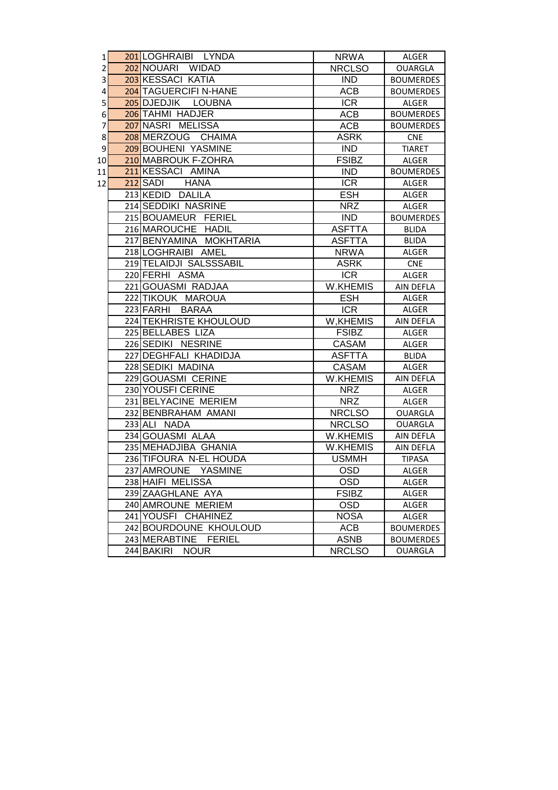| 1              | 201 LOGHRAIBI LYNDA       | <b>NRWA</b>     | <b>ALGER</b>     |
|----------------|---------------------------|-----------------|------------------|
| $\overline{2}$ | 202 NOUARI WIDAD          | <b>NRCLSO</b>   | <b>OUARGLA</b>   |
| 3              | 203 KESSACI KATIA         | <b>IND</b>      | <b>BOUMERDES</b> |
| 4              | 204 TAGUERCIFI N-HANE     | <b>ACB</b>      | <b>BOUMERDES</b> |
| 5              | 205 DJEDJIK LOUBNA        | <b>ICR</b>      | ALGER            |
| 6              | 206 TAHMI HADJER          | <b>ACB</b>      | <b>BOUMERDES</b> |
| 7              | 207 NASRI MELISSA         | <b>ACB</b>      | <b>BOUMERDES</b> |
| 8              | 208 MERZOUG CHAIMA        | <b>ASRK</b>     | <b>CNE</b>       |
| 9              | 209 BOUHENI YASMINE       | <b>IND</b>      | <b>TIARET</b>    |
| 10             | 210 MABROUK F-ZOHRA       | <b>FSIBZ</b>    | <b>ALGER</b>     |
| 11             | 211 KESSACI AMINA         | <b>IND</b>      | <b>BOUMERDES</b> |
| 12             | 212 SADI<br><b>HANA</b>   | <b>ICR</b>      | <b>ALGER</b>     |
|                | 213 KEDID DALILA          | <b>ESH</b>      | ALGER            |
|                | 214 SEDDIKI NASRINE       | <b>NRZ</b>      | ALGER            |
|                | 215 BOUAMEUR FERIEL       | <b>IND</b>      | <b>BOUMERDES</b> |
|                | 216 MAROUCHE HADIL        | <b>ASFTTA</b>   | <b>BLIDA</b>     |
|                | 217 BENYAMINA MOKHTARIA   | <b>ASFTTA</b>   | <b>BLIDA</b>     |
|                | 218 LOGHRAIBI AMEL        | <b>NRWA</b>     | ALGER            |
|                | 219 TELAIDJI SALSSSABIL   | <b>ASRK</b>     | <b>CNE</b>       |
|                | 220 FERHI ASMA            | <b>ICR</b>      | ALGER            |
|                | 221 GOUASMI RADJAA        | <b>W.KHEMIS</b> | <b>AIN DEFLA</b> |
|                | 222 TIKOUK MAROUA         | <b>ESH</b>      | <b>ALGER</b>     |
|                | 223 FARHI<br><b>BARAA</b> | <b>ICR</b>      | ALGER            |
|                | 224 TEKHRISTE KHOULOUD    | W, KHEMIS       | AIN DEFLA        |
|                | 225 BELLABES LIZA         | <b>FSIBZ</b>    | <b>ALGER</b>     |
|                | 226 SEDIKI NESRINE        | <b>CASAM</b>    | <b>ALGER</b>     |
|                | 227 DEGHFALI KHADIDJA     | <b>ASFTTA</b>   | <b>BLIDA</b>     |
|                | 228 SEDIKI MADINA         | CASAM           | ALGER            |
|                | 229 GOUASMI CERINE        | <b>W.KHEMIS</b> | AIN DEFLA        |
|                | 230 YOUSFI CERINE         | <b>NRZ</b>      | ALGER            |
|                | 231 BELYACINE MERIEM      | <b>NRZ</b>      | ALGER            |
|                | 232 BENBRAHAM AMANI       | <b>NRCLSO</b>   | <b>OUARGLA</b>   |
|                | 233 ALI NADA              | <b>NRCLSO</b>   | <b>OUARGLA</b>   |
|                | 234 GOUASMI ALAA          | W.KHEMIS        | AIN DEFLA        |
|                | 235 MEHADJIBA GHANIA      | W.KHEMIS        | AIN DEFLA        |
|                | 236 TIFOURA N-EL HOUDA    | <b>USMMH</b>    | <b>TIPASA</b>    |
|                | 237 AMROUNE YASMINE       | <b>OSD</b>      | ALGER            |
|                | 238 HAIFI MELISSA         | <b>OSD</b>      | ALGER            |
|                | 239 ZAAGHLANE AYA         | <b>FSIBZ</b>    | ALGER            |
|                | 240 AMROUNE MERIEM        | <b>OSD</b>      | ALGER            |
|                | 241 YOUSFI CHAHINEZ       | <b>NOSA</b>     | ALGER            |
|                | 242 BOURDOUNE KHOULOUD    | <b>ACB</b>      | <b>BOUMERDES</b> |
|                | 243 MERABTINE FERIEL      | <b>ASNB</b>     | <b>BOUMERDES</b> |
|                | 244 BAKIRI<br><b>NOUR</b> | <b>NRCLSO</b>   | <b>OUARGLA</b>   |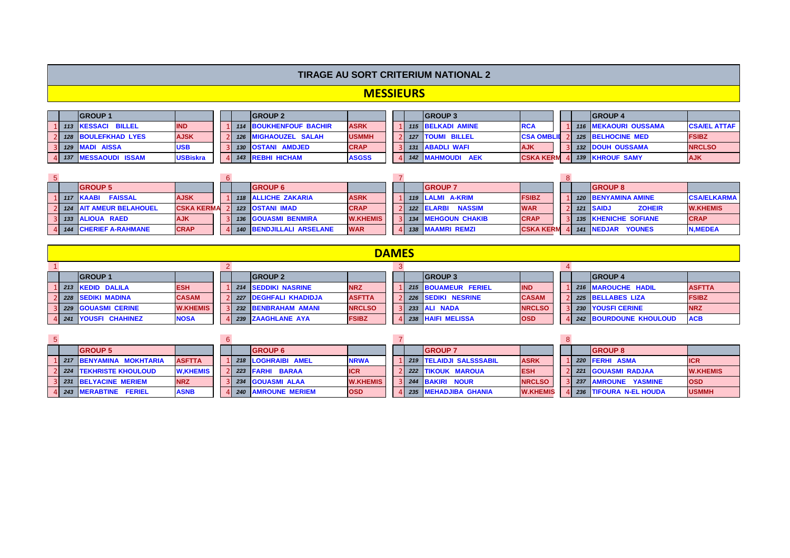### **TIRAGE AU SORT CRITERIUM NATIONAL 2**

## **MESSIEURS**

|  | <b>GROUP 1</b>        |                 |     | <b>IGROUP 2</b>             |              |  | <b>IGROUP 3</b>         |                   |  | <b>GROUP 4</b>              |                     |
|--|-----------------------|-----------------|-----|-----------------------------|--------------|--|-------------------------|-------------------|--|-----------------------------|---------------------|
|  | 1 113 KESSACI BILLEL  | <b>IND</b>      |     | 1 114 BOUKHENFOUF BACHIR    | <b>ASRK</b>  |  | 115 BELKADI AMINE       | <b>RCA</b>        |  | <b>116 MEKAOURI OUSSAMA</b> | <b>CSA/EL ATTAF</b> |
|  | 2 128 BOULEFKHAD LYES | <b>AJSK</b>     |     | <b>126 MIGHAOUZEL SALAH</b> | <b>USMMH</b> |  | 127   TOUMI BILLEL      | <b>CSA OMBLID</b> |  | <b>125 BELHOCINE MED</b>    | <b>FSIBZ</b>        |
|  | 3 129 MADI AISSA      | <b>USB</b>      |     | <b>130 OSTANI AMDJED</b>    | <b>CRAP</b>  |  | <b>131 ABADLI WAFI</b>  | <b>AJK</b>        |  | <b>132 DOUH OUSSAMA</b>     | <b>NRCLSO</b>       |
|  | 4 137 MESSAOUDI ISSAM | <b>USBiskra</b> | 4I. | 143 REBHI HICHAM            | <b>ASGSS</b> |  | <b>142 MAHMOUDI AEK</b> | <b>CSKA KERM</b>  |  | <b>139 KHROUF SAMY</b>      | <b>AJK</b>          |

|  | <b>GROUP 5</b>                                                        |                   |  | <b>GROUP 6</b>                  |                 |  | <b>GROUP 7</b>       |                  |  | <b>GROUP 8</b>              |                    |
|--|-----------------------------------------------------------------------|-------------------|--|---------------------------------|-----------------|--|----------------------|------------------|--|-----------------------------|--------------------|
|  | 117 KAABI FAISSAL                                                     | <b>AJSK</b>       |  | 118 ALLICHE ZAKARIA             | <b>ASRK</b>     |  | 1 119 LALMI A-KRIM   | <b>FSIBZ</b>     |  | <b>120 BENYAMINA AMINE</b>  | <b>CSA/ELKARMA</b> |
|  | <b>124 AIT AMEUR BELAHOUEL</b>                                        | <b>CSKA KERMA</b> |  | 123 OSTANI IMAD                 | <b>CRAP</b>     |  | 122 ELARBI NASSIM    | <b>WAR</b>       |  | 121 SAIDJ<br><b>ZOHEIR</b>  | <b>W.KHEMIS</b>    |
|  |                                                                       | <b>AJK</b>        |  | <b>136 GOUASMI BENMIRA</b>      | <b>W.KHEMIS</b> |  | 3 134 MEHGOUN CHAKIB | <b>CRAP</b>      |  | <b>135 KHENICHE SOFIANE</b> | <b>CRAP</b>        |
|  | <b>133 ALIOUA RAED</b><br><b>CRAP</b><br><b>144 CHERIEF A-RAHMANE</b> |                   |  | <b>140 BENDJILLALI ARSELANE</b> | <b>WAR</b>      |  | 138 MAAMRI REMZI     | <b>CSKA KERM</b> |  | <b>141 NEDJAR YOUNES</b>    | <b>N.MEDEA</b>     |

|                                  |                             |                 |  |                            |               | <b>DAMES</b> |                     |               |  |                          |               |
|----------------------------------|-----------------------------|-----------------|--|----------------------------|---------------|--------------|---------------------|---------------|--|--------------------------|---------------|
|                                  |                             |                 |  |                            |               |              |                     |               |  |                          |               |
|                                  | <b>GROUP1</b>               |                 |  | <b>IGROUP 2</b>            |               |              | <b>IGROUP 3</b>     |               |  | <b>IGROUP 4</b>          |               |
| L 213 KEDID DALILA<br><b>ESH</b> |                             |                 |  | <b>214 SEDDIKI NASRINE</b> | <b>NRZ</b>    |              | 215 BOUAMEUR FERIEL | <b>IND</b>    |  | 1 216 MAROUCHE HADIL     | <b>ASFTTA</b> |
|                                  | 2 228 SEDIKI MADINA         | <b>CASAM</b>    |  | 227 DEGHFALI KHADIDJA      | <b>ASFTTA</b> |              | 226 SEDIKI NESRINE  | <b>CASAM</b>  |  | 2 225 BELLABES LIZA      | <b>FSIBZ</b>  |
|                                  | <b>3 229 GOUASMI CERINE</b> | <b>W.KHEMIS</b> |  | 3 232 BENBRAHAM AMANI      | <b>NRCLSO</b> |              | 233 ALI NADA        | <b>NRCLSO</b> |  | 3 230 YOUSFI CERINE      | <b>NRZ</b>    |
|                                  | 4 241 YOUSFI CHAHINEZ       | <b>NOSA</b>     |  | 239 ZAAGHLANE AYA          | <b>FSIBZ</b>  |              | 238 HAIFI MELISSA   | <b>OSD</b>    |  | 4 242 BOURDOUNE KHOULOUD | <b>ACB</b>    |

|  | <b>GROUP 5</b>                  |                 |  | <b>GROUP 6</b>       |                 |  | <b>GROUP 7</b>            |                 |  | <b>IGROUP 8</b>          |                 |
|--|---------------------------------|-----------------|--|----------------------|-----------------|--|---------------------------|-----------------|--|--------------------------|-----------------|
|  | <b>1217 BENYAMINA MOKHTARIA</b> | <b>ASFTTA</b>   |  | 1 218 LOGHRAIBI AMEL | <b>NRWA</b>     |  | 1 219 TELAIDJI SALSSSABIL | <b>ASRK</b>     |  | 220 FERHI ASMA           | <b>ICR</b>      |
|  | 2 <i>224</i> TEKHRISTE KHOULOUD | <b>W.KHEMIS</b> |  | 2 223 FARHI BARAA    | <b>ICR</b>      |  | 2 222 TIKOUK MAROUA       | <b>ESH</b>      |  | 221 GOUASMI RADJAA       | <b>W.KHEMIS</b> |
|  | 3 231 BELYACINE MERIEM          | <b>NRZ</b>      |  | 3 234 GOUASMI ALAA   | <b>W.KHEMIS</b> |  | <b>244 BAKIRI NOUR</b>    | <b>NRCLSO</b>   |  | 237 AMROUNE YASMINE      | <b>OSD</b>      |
|  | 4 243 MERABTINE FERIEL          | <b>ASNB</b>     |  | 4 240 AMROUNE MERIEM | <b>OSD</b>      |  | 4 235 MEHADJIBA GHANIA    | <b>W.KHEMIS</b> |  | 4 236 TIFOURA N-EL HOUDA | <b>USMMH</b>    |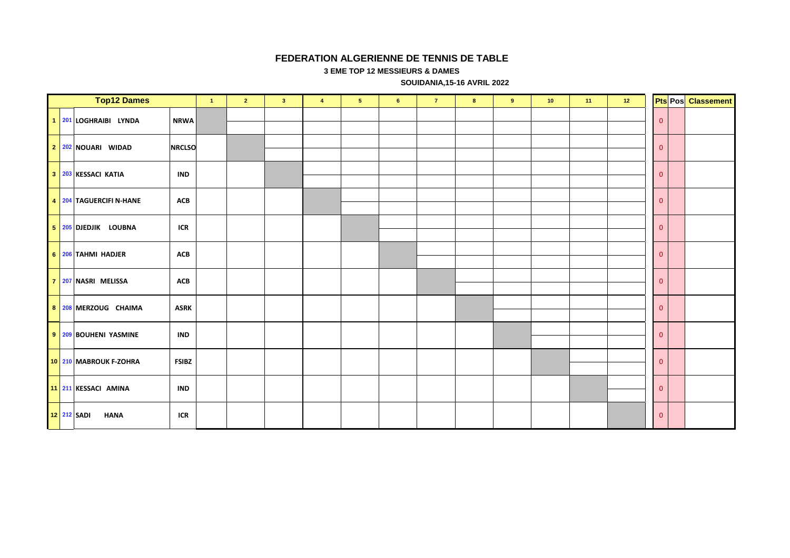#### **FEDERATION ALGERIENNE DE TENNIS DE TABLE**

**3 EME TOP 12 MESSIEURS & DAMES**

 **SOUIDANIA,15-16 AVRIL 2022**

|             | <b>Top12 Dames</b>      |               | $\mathbf{1}$ | $\overline{2}$ | 3 <sup>°</sup> | $\overline{4}$ | 5 <sub>5</sub> | 6 | $\mathbf{7}$ | $\bf{8}$ | $\overline{9}$ | 10 | $-11$ | 12 <sub>2</sub> |                | <b>Pts Pos</b> Classement |
|-------------|-------------------------|---------------|--------------|----------------|----------------|----------------|----------------|---|--------------|----------|----------------|----|-------|-----------------|----------------|---------------------------|
|             | 1 201 LOGHRAIBI LYNDA   | <b>NRWA</b>   |              |                |                |                |                |   |              |          |                |    |       |                 | $\overline{0}$ |                           |
|             | 2 202 NOUARI WIDAD      | <b>NRCLSO</b> |              |                |                |                |                |   |              |          |                |    |       |                 | $\overline{0}$ |                           |
|             | 3 203 KESSACI KATIA     | <b>IND</b>    |              |                |                |                |                |   |              |          |                |    |       |                 | $\overline{0}$ |                           |
|             | 4 204 TAGUERCIFI N-HANE | <b>ACB</b>    |              |                |                |                |                |   |              |          |                |    |       |                 | $\overline{0}$ |                           |
|             | 5 205 DJEDJIK LOUBNA    | <b>ICR</b>    |              |                |                |                |                |   |              |          |                |    |       |                 | $\overline{0}$ |                           |
|             | 6 206 TAHMI HADJER      | <b>ACB</b>    |              |                |                |                |                |   |              |          |                |    |       |                 | $\overline{0}$ |                           |
|             | 7 207 NASRI MELISSA     | <b>ACB</b>    |              |                |                |                |                |   |              |          |                |    |       |                 | $\overline{0}$ |                           |
|             | 8 208 MERZOUG CHAIMA    | <b>ASRK</b>   |              |                |                |                |                |   |              |          |                |    |       |                 | $\overline{0}$ |                           |
|             | 9 209 BOUHENI YASMINE   | <b>IND</b>    |              |                |                |                |                |   |              |          |                |    |       |                 | $\overline{0}$ |                           |
|             | 10 210 MABROUK F-ZOHRA  | <b>FSIBZ</b>  |              |                |                |                |                |   |              |          |                |    |       |                 | $\overline{0}$ |                           |
|             | 11 211 KESSACI AMINA    | <b>IND</b>    |              |                |                |                |                |   |              |          |                |    |       |                 | $\overline{0}$ |                           |
| 12 212 SADI | <b>HANA</b>             | ICR           |              |                |                |                |                |   |              |          |                |    |       |                 | $\mathbf{0}$   |                           |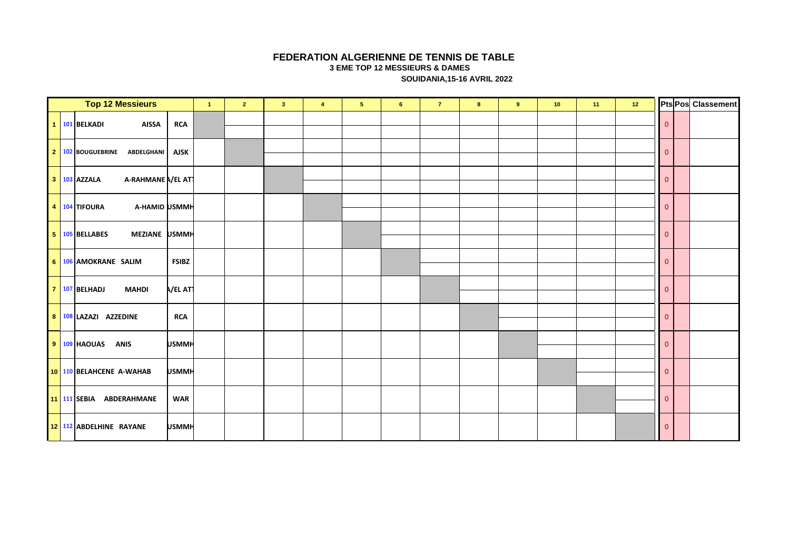#### **FEDERATION ALGERIENNE DE TENNIS DE TABLE**

**3 EME TOP 12 MESSIEURS & DAMES**

 **SOUIDANIA,15-16 AVRIL 2022**

| <b>Top 12 Messieurs</b>            |                 | $\blacktriangleleft$ | $\overline{2}$ | 3 <sup>2</sup> | $\overline{\mathbf{4}}$ | 5 <sub>1</sub> | $6\phantom{a}$ | $\overline{7}$ | $\bf{8}$ | 9 | 10 <sub>1</sub> | 11 | 12 |                         | Pts Pos Classement |
|------------------------------------|-----------------|----------------------|----------------|----------------|-------------------------|----------------|----------------|----------------|----------|---|-----------------|----|----|-------------------------|--------------------|
| 1 101 BELKADI<br><b>AISSA</b>      | <b>RCA</b>      |                      |                |                |                         |                |                |                |          |   |                 |    |    | $\mathbf{0}$            |                    |
| 2 102 BOUGUEBRINE<br>ABDELGHANI    | <b>AJSK</b>     |                      |                |                |                         |                |                |                |          |   |                 |    |    | $\overline{\mathbf{0}}$ |                    |
| 3 103 AZZALA<br>A-RAHMANE N/EL ATT |                 |                      |                |                |                         |                |                |                |          |   |                 |    |    | $\overline{\mathbf{0}}$ |                    |
| 4 104 TIFOURA<br>A-HAMID USMMH     |                 |                      |                |                |                         |                |                |                |          |   |                 |    |    | $\overline{\mathbf{0}}$ |                    |
| 5 105 BELLABES<br>MEZIANE USMMH    |                 |                      |                |                |                         |                |                |                |          |   |                 |    |    | $\overline{\mathbf{0}}$ |                    |
| 6 106 AMOKRANE SALIM               | <b>FSIBZ</b>    |                      |                |                |                         |                |                |                |          |   |                 |    |    | $\overline{\mathbf{0}}$ |                    |
| 7 107 BELHADJ<br><b>MAHDI</b>      | <b>N/EL ATT</b> |                      |                |                |                         |                |                |                |          |   |                 |    |    | $\overline{\mathbf{0}}$ |                    |
| 8 108 LAZAZI AZZEDINE              | <b>RCA</b>      |                      |                |                |                         |                |                |                |          |   |                 |    |    | $\overline{\mathbf{0}}$ |                    |
| $9 109 $ HAOUAS<br><b>ANIS</b>     | <b>USMMH</b>    |                      |                |                |                         |                |                |                |          |   |                 |    |    | $\overline{\mathbf{0}}$ |                    |
| 10 110 BELAHCENE A-WAHAB           | <b>USMMH</b>    |                      |                |                |                         |                |                |                |          |   |                 |    |    | $\overline{\mathbf{0}}$ |                    |
| <b>11 111 SEBIA</b><br>ABDERAHMANE | <b>WAR</b>      |                      |                |                |                         |                |                |                |          |   |                 |    |    | $\overline{\mathbf{0}}$ |                    |
| 12 112 ABDELHINE RAYANE            | <b>USMMH</b>    |                      |                |                |                         |                |                |                |          |   |                 |    |    | $\overline{\mathbf{0}}$ |                    |